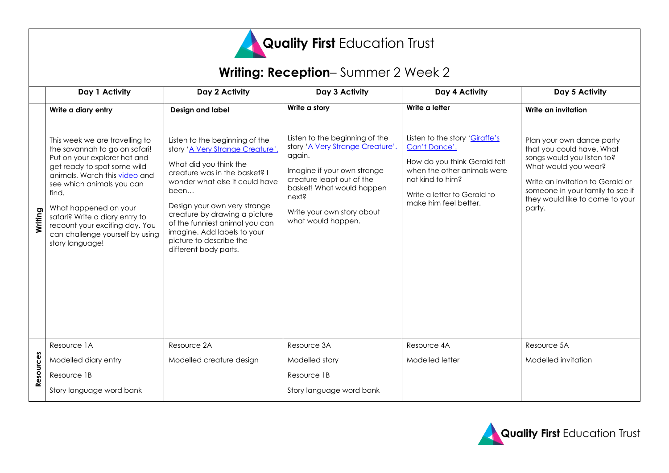

| <b>Writing: Reception-Summer 2 Week 2</b> |                                                                                                                                                                                                                                                                                                                                                          |                                                                                                                                                                                                                                                                                                                                                               |                                                                                                                                                                                                                                    |                                                                                                                                                                                            |                                                                                                                                                                                                                                   |
|-------------------------------------------|----------------------------------------------------------------------------------------------------------------------------------------------------------------------------------------------------------------------------------------------------------------------------------------------------------------------------------------------------------|---------------------------------------------------------------------------------------------------------------------------------------------------------------------------------------------------------------------------------------------------------------------------------------------------------------------------------------------------------------|------------------------------------------------------------------------------------------------------------------------------------------------------------------------------------------------------------------------------------|--------------------------------------------------------------------------------------------------------------------------------------------------------------------------------------------|-----------------------------------------------------------------------------------------------------------------------------------------------------------------------------------------------------------------------------------|
|                                           | Day 1 Activity                                                                                                                                                                                                                                                                                                                                           | Day 2 Activity                                                                                                                                                                                                                                                                                                                                                | Day 3 Activity                                                                                                                                                                                                                     | Day 4 Activity                                                                                                                                                                             | Day 5 Activity                                                                                                                                                                                                                    |
|                                           | Write a diary entry                                                                                                                                                                                                                                                                                                                                      | Design and label                                                                                                                                                                                                                                                                                                                                              | Write a story                                                                                                                                                                                                                      | Write a letter                                                                                                                                                                             | Write an invitation                                                                                                                                                                                                               |
| Writing                                   | This week we are travelling to<br>the savannah to go on safari!<br>Put on your explorer hat and<br>get ready to spot some wild<br>animals. Watch this video and<br>see which animals you can<br>find.<br>What happened on your<br>safari? Write a diary entry to<br>recount your exciting day. You<br>can challenge yourself by using<br>story language! | Listen to the beginning of the<br>story 'A Very Strange Creature'.<br>What did you think the<br>creature was in the basket? I<br>wonder what else it could have<br>been<br>Design your own very strange<br>creature by drawing a picture<br>of the funniest animal you can<br>imagine. Add labels to your<br>picture to describe the<br>different body parts. | Listen to the beginning of the<br>story 'A Very Strange Creature'.<br>again.<br>Imagine if your own strange<br>creature leapt out of the<br>basket! What would happen<br>next?<br>Write your own story about<br>what would happen. | Listen to the story 'Giraffe's<br>Can't Dance'.<br>How do you think Gerald felt<br>when the other animals were<br>not kind to him?<br>Write a letter to Gerald to<br>make him feel better. | Plan your own dance party<br>that you could have. What<br>songs would you listen to?<br>What would you wear?<br>Write an invitation to Gerald or<br>someone in your family to see if<br>they would like to come to your<br>party. |
| Resources                                 | Resource 1A                                                                                                                                                                                                                                                                                                                                              | Resource 2A                                                                                                                                                                                                                                                                                                                                                   | Resource 3A                                                                                                                                                                                                                        | Resource 4A                                                                                                                                                                                | Resource 5A                                                                                                                                                                                                                       |
|                                           | Modelled diary entry                                                                                                                                                                                                                                                                                                                                     | Modelled creature design                                                                                                                                                                                                                                                                                                                                      | Modelled story                                                                                                                                                                                                                     | Modelled letter                                                                                                                                                                            | Modelled invitation                                                                                                                                                                                                               |
|                                           | Resource 1B                                                                                                                                                                                                                                                                                                                                              |                                                                                                                                                                                                                                                                                                                                                               | Resource 1B                                                                                                                                                                                                                        |                                                                                                                                                                                            |                                                                                                                                                                                                                                   |
|                                           | Story language word bank                                                                                                                                                                                                                                                                                                                                 |                                                                                                                                                                                                                                                                                                                                                               | Story language word bank                                                                                                                                                                                                           |                                                                                                                                                                                            |                                                                                                                                                                                                                                   |

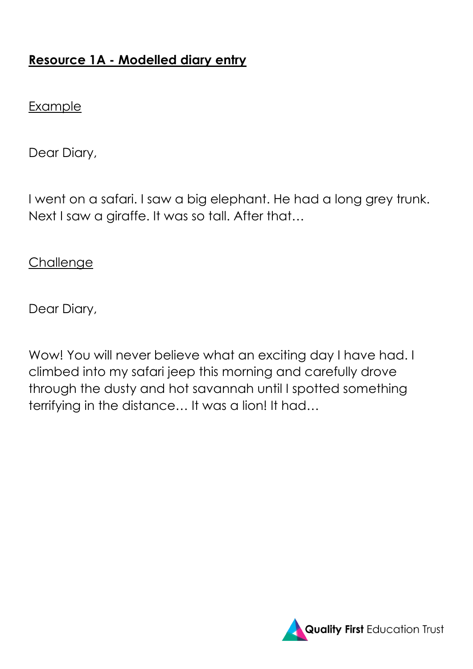# **Resource 1A - Modelled diary entry**

#### Example

Dear Diary,

I went on a safari. I saw a big elephant. He had a long grey trunk. Next I saw a giraffe. It was so tall. After that…

### **Challenge**

Dear Diary,

Wow! You will never believe what an exciting day I have had. I climbed into my safari jeep this morning and carefully drove through the dusty and hot savannah until I spotted something terrifying in the distance… It was a lion! It had…

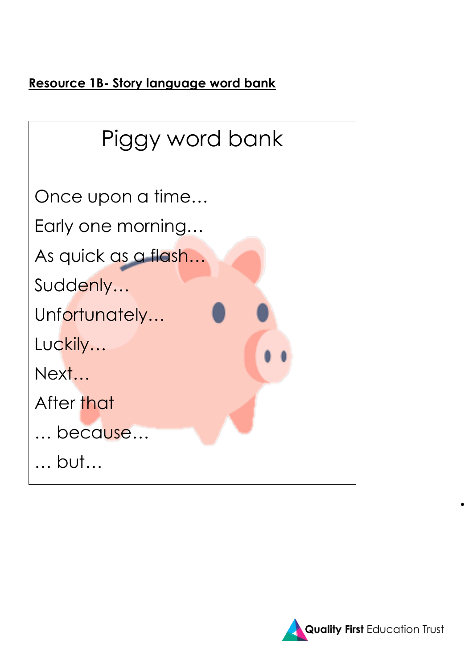**Resource 1B- Story language word bank**



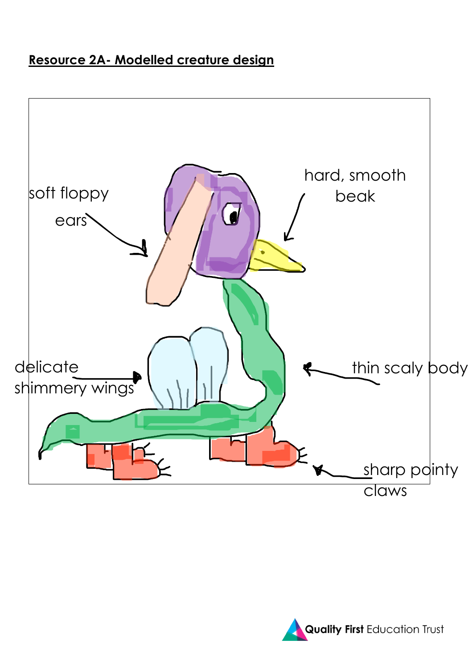# **Resource 2A- Modelled creature design**



**Quality First Education Trust**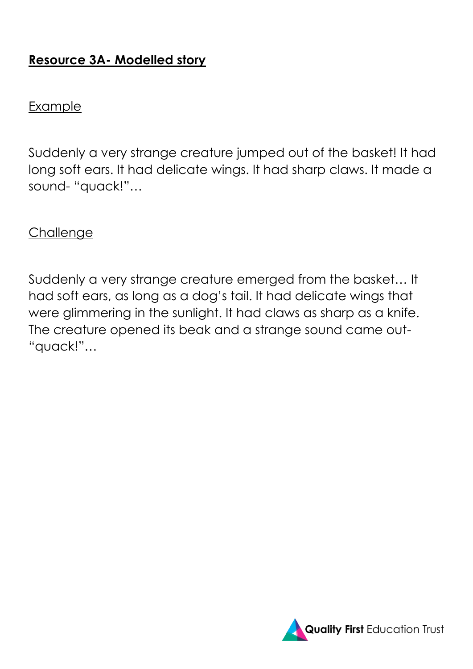# **Resource 3A- Modelled story**

#### Example

Suddenly a very strange creature jumped out of the basket! It had long soft ears. It had delicate wings. It had sharp claws. It made a sound- "quack!"…

### **Challenge**

Suddenly a very strange creature emerged from the basket… It had soft ears, as long as a dog's tail. It had delicate wings that were glimmering in the sunlight. It had claws as sharp as a knife. The creature opened its beak and a strange sound came out- "quack!"…

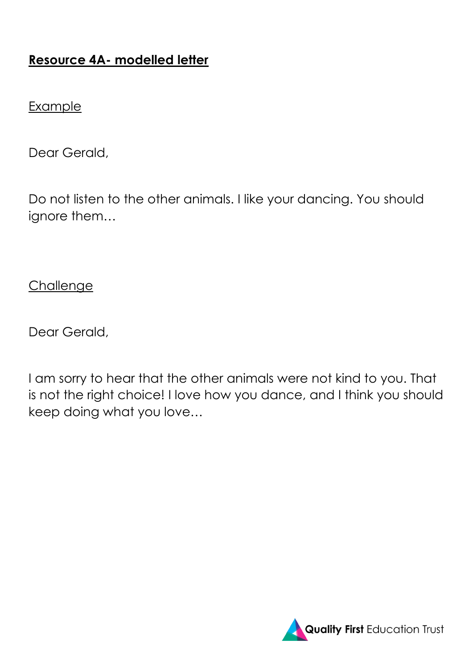# **Resource 4A- modelled letter**

#### Example

Dear Gerald,

Do not listen to the other animals. I like your dancing. You should ignore them…

**Challenge** 

Dear Gerald,

I am sorry to hear that the other animals were not kind to you. That is not the right choice! I love how you dance, and I think you should keep doing what you love…